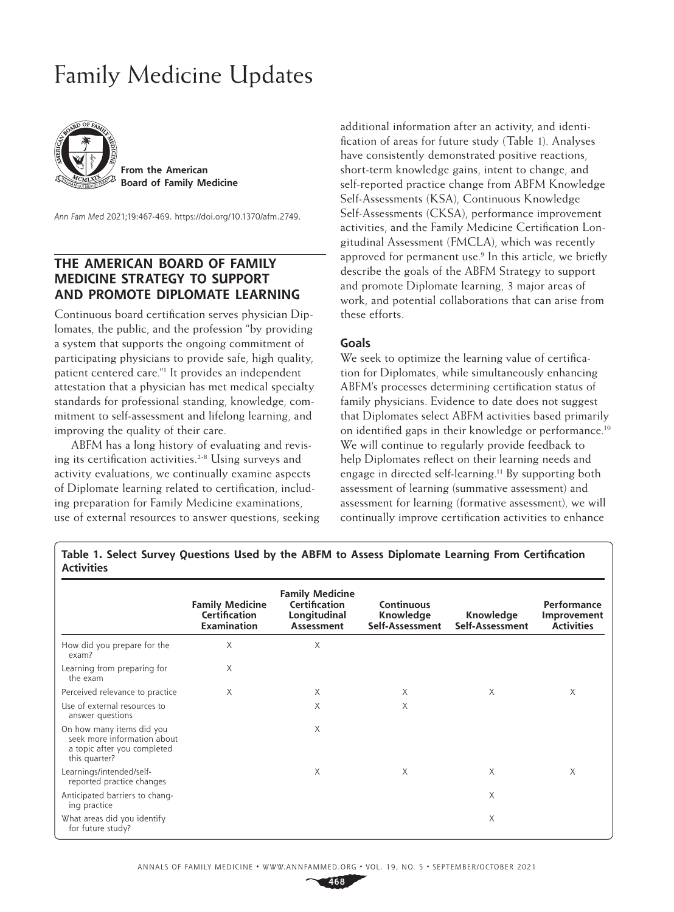# Family Medicine Updates



**From the American Board of Family Medicine**

*Ann Fam Med* 2021;19:467-469. <https://doi.org/10.1370/afm.2749>.

# **THE AMERICAN BOARD OF FAMILY MEDICINE STRATEGY TO SUPPORT AND PROMOTE DIPLOMATE LEARNING**

Continuous board certification serves physician Diplomates, the public, and the profession "by providing a system that supports the ongoing commitment of participating physicians to provide safe, high quality, patient centered care."1 It provides an independent attestation that a physician has met medical specialty standards for professional standing, knowledge, commitment to self-assessment and lifelong learning, and improving the quality of their care.

ABFM has a long history of evaluating and revising its certification activities.<sup>2-8</sup> Using surveys and activity evaluations, we continually examine aspects of Diplomate learning related to certification, including preparation for Family Medicine examinations, use of external resources to answer questions, seeking additional information after an activity, and identification of areas for future study (Table 1). Analyses have consistently demonstrated positive reactions, short-term knowledge gains, intent to change, and self-reported practice change from ABFM Knowledge Self-Assessments (KSA), Continuous Knowledge Self-Assessments (CKSA), performance improvement activities, and the Family Medicine Certification Longitudinal Assessment (FMCLA), which was recently approved for permanent use.<sup>9</sup> In this article, we briefly describe the goals of the ABFM Strategy to support and promote Diplomate learning, 3 major areas of work, and potential collaborations that can arise from these efforts.

### **Goals**

We seek to optimize the learning value of certification for Diplomates, while simultaneously enhancing ABFM's processes determining certification status of family physicians. Evidence to date does not suggest that Diplomates select ABFM activities based primarily on identified gaps in their knowledge or performance.10 We will continue to regularly provide feedback to help Diplomates reflect on their learning needs and engage in directed self-learning.11 By supporting both assessment of learning (summative assessment) and assessment for learning (formative assessment), we will continually improve certification activities to enhance

**Table 1. Select Survey Questions Used by the ABFM to Assess Diplomate Learning From Certification Activities**

|                                                                                                          | <b>Family Medicine</b><br>Certification<br><b>Examination</b> | <b>Family Medicine</b><br>Certification<br>Longitudinal<br>Assessment | <b>Continuous</b><br>Knowledge<br>Self-Assessment | Knowledge<br>Self-Assessment | Performance<br>Improvement<br><b>Activities</b> |
|----------------------------------------------------------------------------------------------------------|---------------------------------------------------------------|-----------------------------------------------------------------------|---------------------------------------------------|------------------------------|-------------------------------------------------|
|                                                                                                          |                                                               |                                                                       |                                                   |                              |                                                 |
| How did you prepare for the<br>exam?                                                                     | Χ                                                             | Χ                                                                     |                                                   |                              |                                                 |
| Learning from preparing for<br>the exam                                                                  | Χ                                                             |                                                                       |                                                   |                              |                                                 |
| Perceived relevance to practice                                                                          | X                                                             | X                                                                     | X                                                 | X                            | X                                               |
| Use of external resources to<br>answer questions                                                         |                                                               | X                                                                     | X                                                 |                              |                                                 |
| On how many items did you<br>seek more information about<br>a topic after you completed<br>this quarter? |                                                               | Χ                                                                     |                                                   |                              |                                                 |
| Learnings/intended/self-<br>reported practice changes                                                    |                                                               | X                                                                     | X                                                 | $\times$                     | X                                               |
| Anticipated barriers to chang-<br>ing practice                                                           |                                                               |                                                                       |                                                   | $\times$                     |                                                 |
| What areas did you identify<br>for future study?                                                         |                                                               |                                                                       |                                                   | $\times$                     |                                                 |

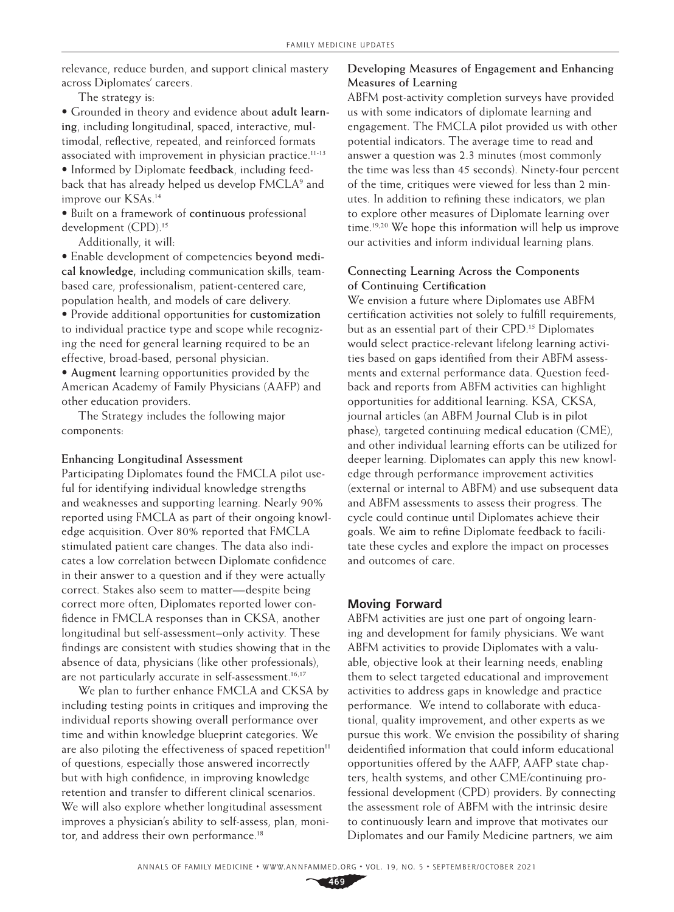relevance, reduce burden, and support clinical mastery across Diplomates' careers.

The strategy is:

• Grounded in theory and evidence about **adult learning**, including longitudinal, spaced, interactive, multimodal, reflective, repeated, and reinforced formats associated with improvement in physician practice.<sup>11-13</sup> • Informed by Diplomate **feedback**, including feedback that has already helped us develop FMCLA<sup>9</sup> and improve our KSAs.14

• Built on a framework of **continuous** professional development (CPD).15

Additionally, it will:

• Enable development of competencies **beyond medical knowledge,** including communication skills, teambased care, professionalism, patient-centered care, population health, and models of care delivery.

• Provide additional opportunities for **customization** to individual practice type and scope while recognizing the need for general learning required to be an effective, broad-based, personal physician.

• **Augment** learning opportunities provided by the American Academy of Family Physicians (AAFP) and other education providers.

The Strategy includes the following major components:

#### **Enhancing Longitudinal Assessment**

Participating Diplomates found the FMCLA pilot useful for identifying individual knowledge strengths and weaknesses and supporting learning. Nearly 90% reported using FMCLA as part of their ongoing knowledge acquisition. Over 80% reported that FMCLA stimulated patient care changes. The data also indicates a low correlation between Diplomate confidence in their answer to a question and if they were actually correct. Stakes also seem to matter—despite being correct more often, Diplomates reported lower confidence in FMCLA responses than in CKSA, another longitudinal but self-assessment–only activity. These findings are consistent with studies showing that in the absence of data, physicians (like other professionals), are not particularly accurate in self-assessment.<sup>16,17</sup>

We plan to further enhance FMCLA and CKSA by including testing points in critiques and improving the individual reports showing overall performance over time and within knowledge blueprint categories. We are also piloting the effectiveness of spaced repetition<sup>11</sup> of questions, especially those answered incorrectly but with high confidence, in improving knowledge retention and transfer to different clinical scenarios. We will also explore whether longitudinal assessment improves a physician's ability to self-assess, plan, monitor, and address their own performance.<sup>18</sup>

## **Developing Measures of Engagement and Enhancing Measures of Learning**

ABFM post-activity completion surveys have provided us with some indicators of diplomate learning and engagement. The FMCLA pilot provided us with other potential indicators. The average time to read and answer a question was 2.3 minutes (most commonly the time was less than 45 seconds). Ninety-four percent of the time, critiques were viewed for less than 2 minutes. In addition to refining these indicators, we plan to explore other measures of Diplomate learning over time.19,20 We hope this information will help us improve our activities and inform individual learning plans.

### **Connecting Learning Across the Components of Continuing Certification**

We envision a future where Diplomates use ABFM certification activities not solely to fulfill requirements, but as an essential part of their CPD.<sup>15</sup> Diplomates would select practice-relevant lifelong learning activities based on gaps identified from their ABFM assessments and external performance data. Question feedback and reports from ABFM activities can highlight opportunities for additional learning. KSA, CKSA, journal articles (an ABFM Journal Club is in pilot phase), targeted continuing medical education (CME), and other individual learning efforts can be utilized for deeper learning. Diplomates can apply this new knowledge through performance improvement activities (external or internal to ABFM) and use subsequent data and ABFM assessments to assess their progress. The cycle could continue until Diplomates achieve their goals. We aim to refine Diplomate feedback to facilitate these cycles and explore the impact on processes and outcomes of care.

#### **Moving Forward**

ABFM activities are just one part of ongoing learning and development for family physicians. We want ABFM activities to provide Diplomates with a valuable, objective look at their learning needs, enabling them to select targeted educational and improvement activities to address gaps in knowledge and practice performance. We intend to collaborate with educational, quality improvement, and other experts as we pursue this work. We envision the possibility of sharing deidentified information that could inform educational opportunities offered by the AAFP, AAFP state chapters, health systems, and other CME/continuing professional development (CPD) providers. By connecting the assessment role of ABFM with the intrinsic desire to continuously learn and improve that motivates our Diplomates and our Family Medicine partners, we aim